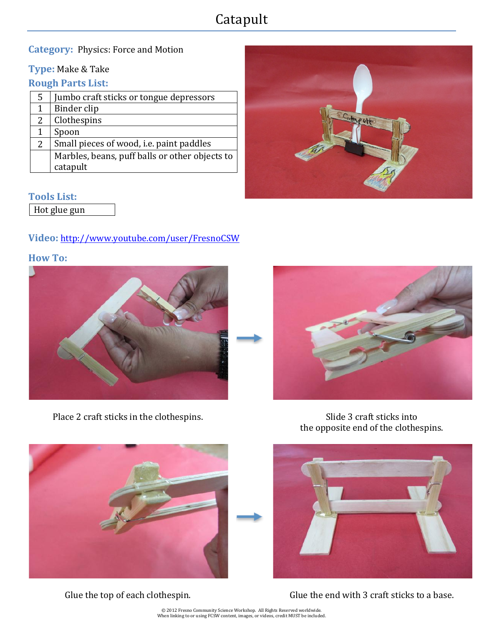# Catapult

#### **Category: Physics: Force and Motion**

#### **Type:** Make & Take

#### **Rough Parts List:**

| 5              | Jumbo craft sticks or tongue depressors        |
|----------------|------------------------------------------------|
| $\mathbf 1$    | Binder clip                                    |
| $\overline{2}$ | Clothespins                                    |
| 1              | Spoon                                          |
| $\overline{2}$ | Small pieces of wood, i.e. paint paddles       |
|                | Marbles, beans, puff balls or other objects to |
|                | catapult                                       |
|                |                                                |



#### **Tools List:**

Hot glue gun

#### **Video:** http://www.youtube.com/user/FresnoCSW

# **How To:**



Place 2 craft sticks in the clothespins. Slide 3 craft sticks into



the opposite end of the clothespins.





Glue the top of each clothespin. Glue the end with 3 craft sticks to a base.

© 2012 Fresno Community Science Workshop. All Rights Reserved worldwide.<br>When linking to or using FCSW content, images, or videos, credit MUST be included.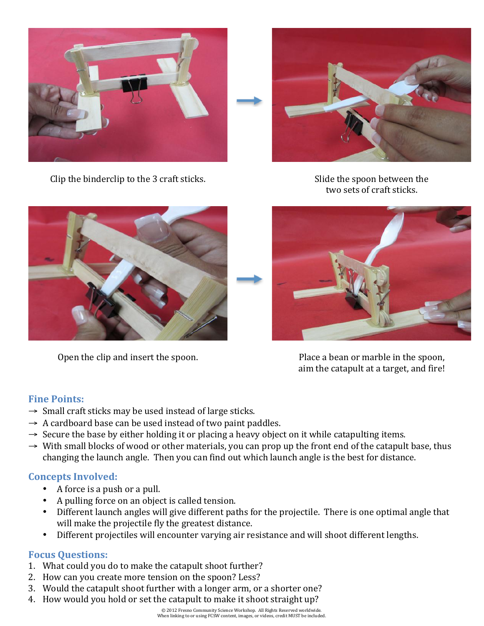



Clip the binderclip to the 3 craft sticks. Slide the spoon between the spoon between the

two sets of craft sticks.





Open the clip and insert the spoon. Place a bean or marble in the spoon, aim the catapult at a target, and fire!

# **Fine Points:**

- $\rightarrow$  Small craft sticks may be used instead of large sticks.
- $\rightarrow$  A cardboard base can be used instead of two paint paddles.
- $\rightarrow$  Secure the base by either holding it or placing a heavy object on it while catapulting items.
- $\rightarrow$  With small blocks of wood or other materials, you can prop up the front end of the catapult base, thus changing the launch angle. Then you can find out which launch angle is the best for distance.

# **Concepts Involved:**

- A force is a push or a pull.
- A pulling force on an object is called tension.
- Different launch angles will give different paths for the projectile. There is one optimal angle that will make the projectile fly the greatest distance.
- Different projectiles will encounter varying air resistance and will shoot different lengths.

# **Focus Ouestions:**

- 1. What could you do to make the catapult shoot further?
- 2. How can you create more tension on the spoon? Less?
- 3. Would the catapult shoot further with a longer arm, or a shorter one?
- 4. How would you hold or set the catapult to make it shoot straight up?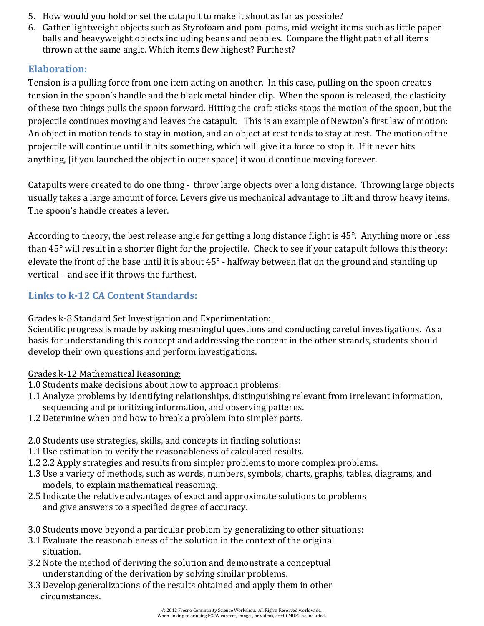- 5. How would you hold or set the catapult to make it shoot as far as possible?
- 6. Gather lightweight objects such as Styrofoam and pom-poms, mid-weight items such as little paper balls and heavyweight objects including beans and pebbles. Compare the flight path of all items thrown at the same angle. Which items flew highest? Furthest?

# **Elaboration:**

Tension is a pulling force from one item acting on another. In this case, pulling on the spoon creates tension in the spoon's handle and the black metal binder clip. When the spoon is released, the elasticity of these two things pulls the spoon forward. Hitting the craft sticks stops the motion of the spoon, but the projectile continues moving and leaves the catapult. This is an example of Newton's first law of motion: An object in motion tends to stay in motion, and an object at rest tends to stay at rest. The motion of the projectile will continue until it hits something, which will give it a force to stop it. If it never hits anything, (if you launched the object in outer space) it would continue moving forever.

Catapults were created to do one thing - throw large objects over a long distance. Throwing large objects usually takes a large amount of force. Levers give us mechanical advantage to lift and throw heavy items. The spoon's handle creates a lever.

According to theory, the best release angle for getting a long distance flight is  $45^\circ$ . Anything more or less than 45° will result in a shorter flight for the projectile. Check to see if your catapult follows this theory: elevate the front of the base until it is about  $45^\circ$  - halfway between flat on the ground and standing up vertical – and see if it throws the furthest.

# **Links to k-12 CA Content Standards:**

# Grades k-8 Standard Set Investigation and Experimentation:

Scientific progress is made by asking meaningful questions and conducting careful investigations. As a basis for understanding this concept and addressing the content in the other strands, students should develop their own questions and perform investigations.

# Grades k-12 Mathematical Reasoning:

- 1.0 Students make decisions about how to approach problems:
- 1.1 Analyze problems by identifying relationships, distinguishing relevant from irrelevant information, sequencing and prioritizing information, and observing patterns.
- 1.2 Determine when and how to break a problem into simpler parts.
- 2.0 Students use strategies, skills, and concepts in finding solutions:
- 1.1 Use estimation to verify the reasonableness of calculated results.
- 1.2 2.2 Apply strategies and results from simpler problems to more complex problems.
- 1.3 Use a variety of methods, such as words, numbers, symbols, charts, graphs, tables, diagrams, and models, to explain mathematical reasoning.
- 2.5 Indicate the relative advantages of exact and approximate solutions to problems and give answers to a specified degree of accuracy.
- 3.0 Students move beyond a particular problem by generalizing to other situations:
- 3.1 Evaluate the reasonableness of the solution in the context of the original situation.
- 3.2 Note the method of deriving the solution and demonstrate a conceptual understanding of the derivation by solving similar problems.
- 3.3 Develop generalizations of the results obtained and apply them in other circumstances.